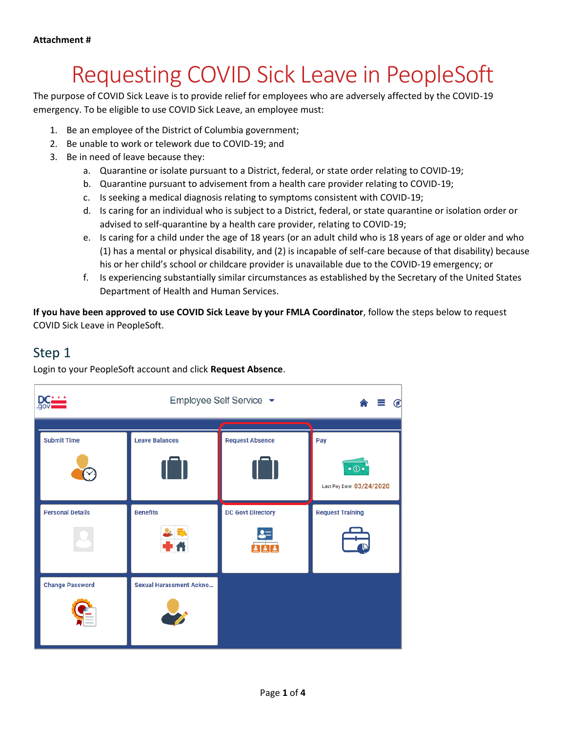# Requesting COVID Sick Leave in PeopleSoft

The purpose of COVID Sick Leave is to provide relief for employees who are adversely affected by the COVID-19 emergency. To be eligible to use COVID Sick Leave, an employee must:

- 1. Be an employee of the District of Columbia government;
- 2. Be unable to work or telework due to COVID-19; and
- 3. Be in need of leave because they:
	- a. Quarantine or isolate pursuant to a District, federal, or state order relating to COVID-19;
	- b. Quarantine pursuant to advisement from a health care provider relating to COVID-19;
	- c. Is seeking a medical diagnosis relating to symptoms consistent with COVID-19;
	- d. Is caring for an individual who is subject to a District, federal, or state quarantine or isolation order or advised to self-quarantine by a health care provider, relating to COVID-19;
	- e. Is caring for a child under the age of 18 years (or an adult child who is 18 years of age or older and who (1) has a mental or physical disability, and (2) is incapable of self-care because of that disability) because his or her child's school or childcare provider is unavailable due to the COVID-19 emergency; or
	- f. Is experiencing substantially similar circumstances as established by the Secretary of the United States Department of Health and Human Services.

**If you have been approved to use COVID Sick Leave by your FMLA Coordinator**, follow the steps below to request COVID Sick Leave in PeopleSoft.

#### Step 1

Login to your PeopleSoft account and click **Request Absence**.

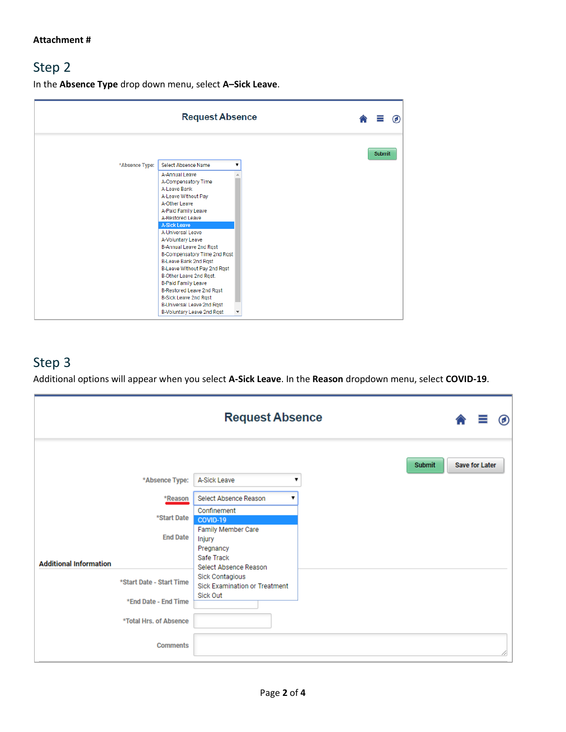# Step 2

In the **Absence Type** drop down menu, select **A–Sick Leave**.

|                | <b>Request Absence</b>                  |   |  |               | 6 |
|----------------|-----------------------------------------|---|--|---------------|---|
|                |                                         |   |  | <b>Submit</b> |   |
| *Absence Type: | Select Absence Name                     | ▼ |  |               |   |
|                | A-Annual Leave                          |   |  |               |   |
|                | A-Compensatory Time                     |   |  |               |   |
|                | A-Leave Bank                            |   |  |               |   |
|                | A-Leave Without Pav                     |   |  |               |   |
|                | A-Other Leave                           |   |  |               |   |
|                | A-Paid Family Leave                     |   |  |               |   |
|                | A-Restored Leave<br><b>A-Sick Leave</b> |   |  |               |   |
|                | A-Universal Leave                       |   |  |               |   |
|                | A-Voluntary Leave                       |   |  |               |   |
|                | B-Annual Leave 2nd Rqst                 |   |  |               |   |
|                | B-Compensatory Time 2nd Rqst            |   |  |               |   |
|                | B-Leave Bank 2nd Rqst                   |   |  |               |   |
|                | B-Leave Without Pay 2nd Rqst            |   |  |               |   |
|                | B-Other Leave 2nd Rgst.                 |   |  |               |   |
|                | <b>B-Paid Family Leave</b>              |   |  |               |   |
|                | B-Restored Leave 2nd Rgst               |   |  |               |   |
|                | <b>B-Sick Leave 2nd Rqst</b>            |   |  |               |   |
|                | B-Universal Leave 2nd Rqst              |   |  |               |   |
|                | B-Voluntary Leave 2nd Rqst              |   |  |               |   |

# Step 3

Additional options will appear when you select **A-Sick Leave**. In the **Reason** dropdown menu, select **COVID-19**.

|                               | <b>Request Absence</b><br>$\circledcirc$                |
|-------------------------------|---------------------------------------------------------|
|                               | <b>Submit</b><br><b>Save for Later</b>                  |
| *Absence Type:                | A-Sick Leave                                            |
| *Reason                       | Select Absence Reason                                   |
| *Start Date                   | Confinement<br>COVID-19                                 |
| <b>End Date</b>               | Family Member Care<br>Injury<br>Pregnancy               |
| <b>Additional Information</b> | Safe Track<br>Select Absence Reason                     |
| *Start Date - Start Time      | Sick Contagious<br><b>Sick Examination or Treatment</b> |
| *End Date - End Time          | <b>Sick Out</b>                                         |
| *Total Hrs. of Absence        |                                                         |
| <b>Comments</b>               |                                                         |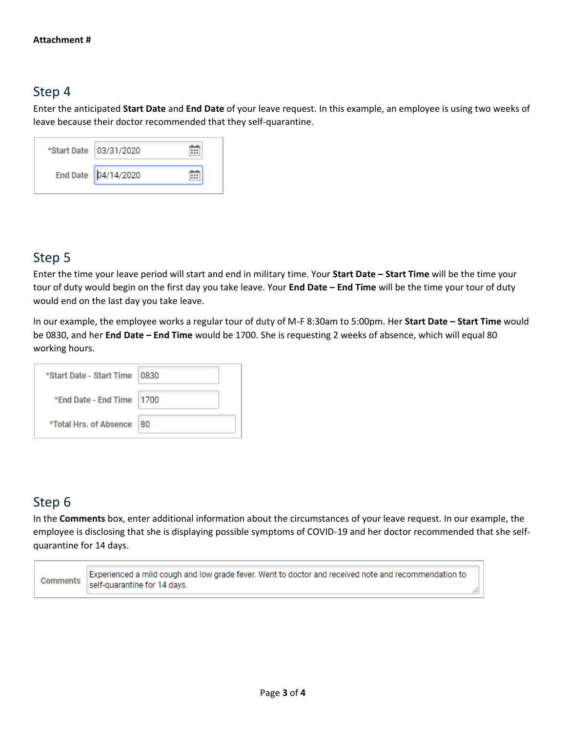#### Step 4

Enter the anticipated **Start Date** and **End Date** of your leave request. In this example, an employee is using two weeks of leave because their doctor recommended that they self-quarantine.

| *Start Date   03/31/2020 |  |
|--------------------------|--|
| End Date   04/14/2020    |  |

### Step 5

Enter the time your leave period will start and end in military time. Your **Start Date – Start Time** will be the time your tour of duty would begin on the first day you take leave. Your **End Date – End Time** will be the time your tour of duty would end on the last day you take leave.

In our example, the employee works a regular tour of duty of M-F 8:30am to 5:00pm. Her **Start Date – Start Time** would be 0830, and her **End Date – End Time** would be 1700. She is requesting 2 weeks of absence, which will equal 80 working hours.

| *Start Date - Start Time   0830 |     |
|---------------------------------|-----|
| *End Date - End Time 1700       |     |
| *Total Hrs. of Absence          | -80 |

# Step 6

Ē

In the **Comments** box, enter additional information about the circumstances of your leave request. In our example, the employee is disclosing that she is displaying possible symptoms of COVID-19 and her doctor recommended that she selfquarantine for 14 days.

| Comments | Experienced a mild cough and low grade fever. Went to doctor and received note and recommendation to |  |
|----------|------------------------------------------------------------------------------------------------------|--|
|          | self-quarantine for 14 days.                                                                         |  |